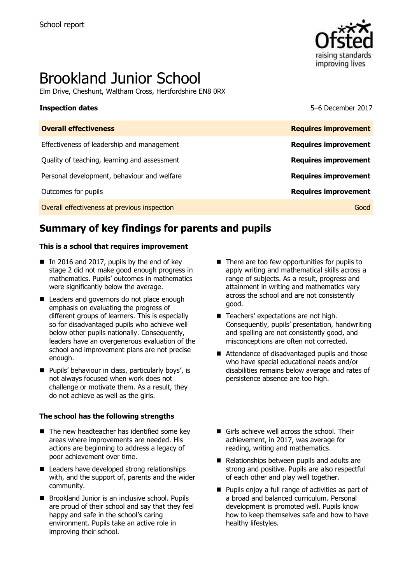

# Brookland Junior School

Elm Drive, Cheshunt, Waltham Cross, Hertfordshire EN8 0RX

**Inspection dates** 5–6 December 2017

| <b>Requires improvement</b> |
|-----------------------------|
| <b>Requires improvement</b> |
| <b>Requires improvement</b> |
| <b>Requires improvement</b> |
| <b>Requires improvement</b> |
| Good                        |
|                             |

# **Summary of key findings for parents and pupils**

### **This is a school that requires improvement**

- In 2016 and 2017, pupils by the end of key stage 2 did not make good enough progress in mathematics. Pupils' outcomes in mathematics were significantly below the average.
- Leaders and governors do not place enough emphasis on evaluating the progress of different groups of learners. This is especially so for disadvantaged pupils who achieve well below other pupils nationally. Consequently, leaders have an overgenerous evaluation of the school and improvement plans are not precise enough.
- **Pupils' behaviour in class, particularly boys', is** not always focused when work does not challenge or motivate them. As a result, they do not achieve as well as the girls.

### **The school has the following strengths**

- $\blacksquare$  The new headteacher has identified some key areas where improvements are needed. His actions are beginning to address a legacy of poor achievement over time.
- Leaders have developed strong relationships with, and the support of, parents and the wider community.
- **Brookland Junior is an inclusive school. Pupils** are proud of their school and say that they feel happy and safe in the school's caring environment. Pupils take an active role in improving their school.
- $\blacksquare$  There are too few opportunities for pupils to apply writing and mathematical skills across a range of subjects. As a result, progress and attainment in writing and mathematics vary across the school and are not consistently good.
- Teachers' expectations are not high. Consequently, pupils' presentation, handwriting and spelling are not consistently good, and misconceptions are often not corrected.
- Attendance of disadvantaged pupils and those who have special educational needs and/or disabilities remains below average and rates of persistence absence are too high.
- Girls achieve well across the school. Their achievement, in 2017, was average for reading, writing and mathematics.
- Relationships between pupils and adults are strong and positive. Pupils are also respectful of each other and play well together.
- **Pupils enjoy a full range of activities as part of** a broad and balanced curriculum. Personal development is promoted well. Pupils know how to keep themselves safe and how to have healthy lifestyles.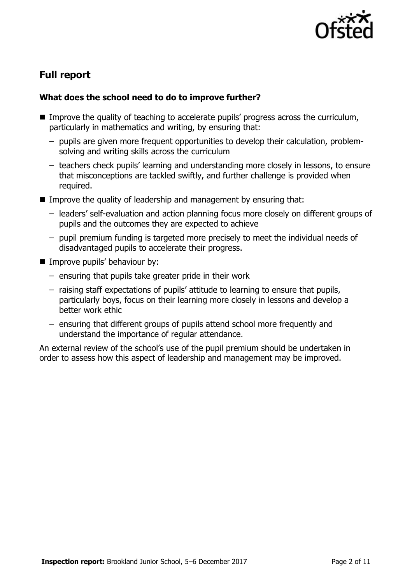

# **Full report**

### **What does the school need to do to improve further?**

- Improve the quality of teaching to accelerate pupils' progress across the curriculum, particularly in mathematics and writing, by ensuring that:
	- pupils are given more frequent opportunities to develop their calculation, problemsolving and writing skills across the curriculum
	- teachers check pupils' learning and understanding more closely in lessons, to ensure that misconceptions are tackled swiftly, and further challenge is provided when required.
- Improve the quality of leadership and management by ensuring that:
	- leaders' self-evaluation and action planning focus more closely on different groups of pupils and the outcomes they are expected to achieve
	- pupil premium funding is targeted more precisely to meet the individual needs of disadvantaged pupils to accelerate their progress.
- **Improve pupils' behaviour by:** 
	- ensuring that pupils take greater pride in their work
	- raising staff expectations of pupils' attitude to learning to ensure that pupils, particularly boys, focus on their learning more closely in lessons and develop a better work ethic
	- ensuring that different groups of pupils attend school more frequently and understand the importance of regular attendance.

An external review of the school's use of the pupil premium should be undertaken in order to assess how this aspect of leadership and management may be improved.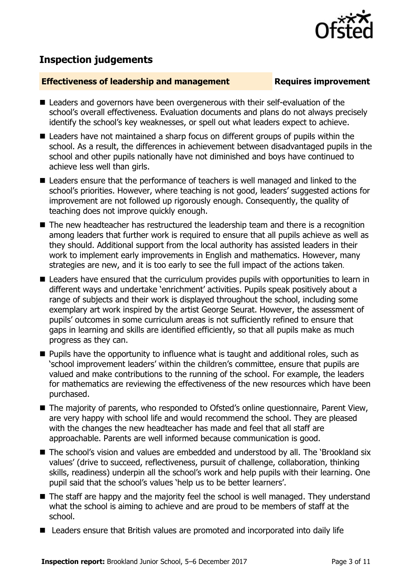

# **Inspection judgements**

### **Effectiveness of leadership and management Requires improvement**

- Leaders and governors have been overgenerous with their self-evaluation of the school's overall effectiveness. Evaluation documents and plans do not always precisely identify the school's key weaknesses, or spell out what leaders expect to achieve.
- Leaders have not maintained a sharp focus on different groups of pupils within the school. As a result, the differences in achievement between disadvantaged pupils in the school and other pupils nationally have not diminished and boys have continued to achieve less well than girls.
- Leaders ensure that the performance of teachers is well managed and linked to the school's priorities. However, where teaching is not good, leaders' suggested actions for improvement are not followed up rigorously enough. Consequently, the quality of teaching does not improve quickly enough.
- The new headteacher has restructured the leadership team and there is a recognition among leaders that further work is required to ensure that all pupils achieve as well as they should. Additional support from the local authority has assisted leaders in their work to implement early improvements in English and mathematics. However, many strategies are new, and it is too early to see the full impact of the actions taken.
- Leaders have ensured that the curriculum provides pupils with opportunities to learn in different ways and undertake 'enrichment' activities. Pupils speak positively about a range of subjects and their work is displayed throughout the school, including some exemplary art work inspired by the artist George Seurat. However, the assessment of pupils' outcomes in some curriculum areas is not sufficiently refined to ensure that gaps in learning and skills are identified efficiently, so that all pupils make as much progress as they can.
- **Pupils have the opportunity to influence what is taught and additional roles, such as** 'school improvement leaders' within the children's committee, ensure that pupils are valued and make contributions to the running of the school. For example, the leaders for mathematics are reviewing the effectiveness of the new resources which have been purchased.
- The majority of parents, who responded to Ofsted's online questionnaire, Parent View, are very happy with school life and would recommend the school. They are pleased with the changes the new headteacher has made and feel that all staff are approachable. Parents are well informed because communication is good.
- The school's vision and values are embedded and understood by all. The 'Brookland six values' (drive to succeed, reflectiveness, pursuit of challenge, collaboration, thinking skills, readiness) underpin all the school's work and help pupils with their learning. One pupil said that the school's values 'help us to be better learners'.
- The staff are happy and the majority feel the school is well managed. They understand what the school is aiming to achieve and are proud to be members of staff at the school.
- Leaders ensure that British values are promoted and incorporated into daily life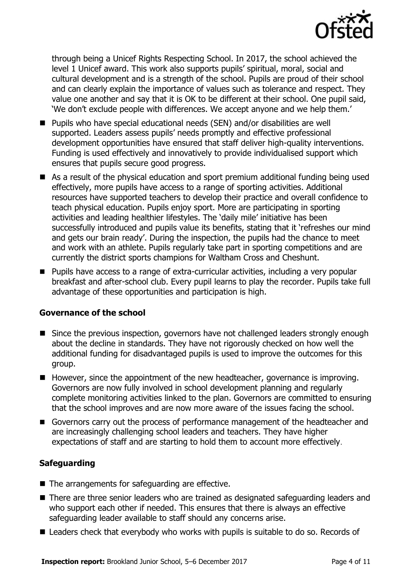

through being a Unicef Rights Respecting School. In 2017, the school achieved the level 1 Unicef award. This work also supports pupils' spiritual, moral, social and cultural development and is a strength of the school. Pupils are proud of their school and can clearly explain the importance of values such as tolerance and respect. They value one another and say that it is OK to be different at their school. One pupil said, 'We don't exclude people with differences. We accept anyone and we help them.'

- Pupils who have special educational needs (SEN) and/or disabilities are well supported. Leaders assess pupils' needs promptly and effective professional development opportunities have ensured that staff deliver high-quality interventions. Funding is used effectively and innovatively to provide individualised support which ensures that pupils secure good progress.
- As a result of the physical education and sport premium additional funding being used effectively, more pupils have access to a range of sporting activities. Additional resources have supported teachers to develop their practice and overall confidence to teach physical education. Pupils enjoy sport. More are participating in sporting activities and leading healthier lifestyles. The 'daily mile' initiative has been successfully introduced and pupils value its benefits, stating that it 'refreshes our mind and gets our brain ready'. During the inspection, the pupils had the chance to meet and work with an athlete. Pupils regularly take part in sporting competitions and are currently the district sports champions for Waltham Cross and Cheshunt.
- Pupils have access to a range of extra-curricular activities, including a very popular breakfast and after-school club. Every pupil learns to play the recorder. Pupils take full advantage of these opportunities and participation is high.

### **Governance of the school**

- Since the previous inspection, governors have not challenged leaders strongly enough about the decline in standards. They have not rigorously checked on how well the additional funding for disadvantaged pupils is used to improve the outcomes for this group.
- $\blacksquare$  However, since the appointment of the new headteacher, governance is improving. Governors are now fully involved in school development planning and regularly complete monitoring activities linked to the plan. Governors are committed to ensuring that the school improves and are now more aware of the issues facing the school.
- Governors carry out the process of performance management of the headteacher and are increasingly challenging school leaders and teachers. They have higher expectations of staff and are starting to hold them to account more effectively.

### **Safeguarding**

- $\blacksquare$  The arrangements for safeguarding are effective.
- There are three senior leaders who are trained as designated safeguarding leaders and who support each other if needed. This ensures that there is always an effective safeguarding leader available to staff should any concerns arise.
- Leaders check that everybody who works with pupils is suitable to do so. Records of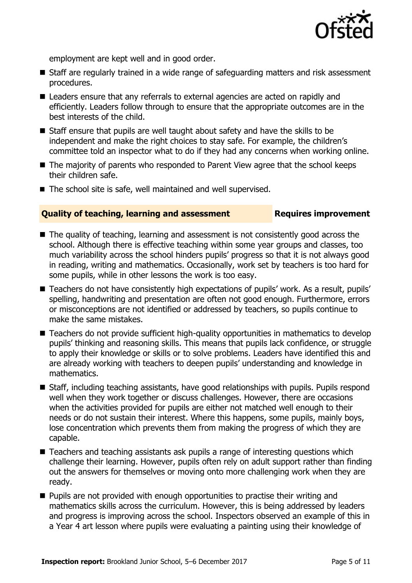

employment are kept well and in good order.

- Staff are regularly trained in a wide range of safeguarding matters and risk assessment procedures.
- Leaders ensure that any referrals to external agencies are acted on rapidly and efficiently. Leaders follow through to ensure that the appropriate outcomes are in the best interests of the child.
- Staff ensure that pupils are well taught about safety and have the skills to be independent and make the right choices to stay safe. For example, the children's committee told an inspector what to do if they had any concerns when working online.
- The majority of parents who responded to Parent View agree that the school keeps their children safe.
- The school site is safe, well maintained and well supervised.

### **Quality of teaching, learning and assessment Fig. 2.1 Requires improvement**

- The quality of teaching, learning and assessment is not consistently good across the school. Although there is effective teaching within some year groups and classes, too much variability across the school hinders pupils' progress so that it is not always good in reading, writing and mathematics. Occasionally, work set by teachers is too hard for some pupils, while in other lessons the work is too easy.
- Teachers do not have consistently high expectations of pupils' work. As a result, pupils' spelling, handwriting and presentation are often not good enough. Furthermore, errors or misconceptions are not identified or addressed by teachers, so pupils continue to make the same mistakes.
- Teachers do not provide sufficient high-quality opportunities in mathematics to develop pupils' thinking and reasoning skills. This means that pupils lack confidence, or struggle to apply their knowledge or skills or to solve problems. Leaders have identified this and are already working with teachers to deepen pupils' understanding and knowledge in mathematics.
- Staff, including teaching assistants, have good relationships with pupils. Pupils respond well when they work together or discuss challenges. However, there are occasions when the activities provided for pupils are either not matched well enough to their needs or do not sustain their interest. Where this happens, some pupils, mainly boys, lose concentration which prevents them from making the progress of which they are capable.
- Teachers and teaching assistants ask pupils a range of interesting questions which challenge their learning. However, pupils often rely on adult support rather than finding out the answers for themselves or moving onto more challenging work when they are ready.
- $\blacksquare$  Pupils are not provided with enough opportunities to practise their writing and mathematics skills across the curriculum. However, this is being addressed by leaders and progress is improving across the school. Inspectors observed an example of this in a Year 4 art lesson where pupils were evaluating a painting using their knowledge of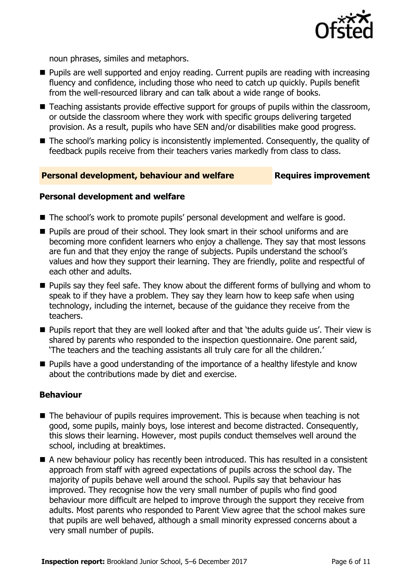

noun phrases, similes and metaphors.

- **Pupils are well supported and enjoy reading. Current pupils are reading with increasing** fluency and confidence, including those who need to catch up quickly. Pupils benefit from the well-resourced library and can talk about a wide range of books.
- Teaching assistants provide effective support for groups of pupils within the classroom, or outside the classroom where they work with specific groups delivering targeted provision. As a result, pupils who have SEN and/or disabilities make good progress.
- The school's marking policy is inconsistently implemented. Consequently, the quality of feedback pupils receive from their teachers varies markedly from class to class.

### **Personal development, behaviour and welfare Fig. 2.1 Requires improvement**

### **Personal development and welfare**

- The school's work to promote pupils' personal development and welfare is good.
- **Pupils are proud of their school. They look smart in their school uniforms and are** becoming more confident learners who enjoy a challenge. They say that most lessons are fun and that they enjoy the range of subjects. Pupils understand the school's values and how they support their learning. They are friendly, polite and respectful of each other and adults.
- **Pupils say they feel safe. They know about the different forms of bullying and whom to** speak to if they have a problem. They say they learn how to keep safe when using technology, including the internet, because of the guidance they receive from the teachers.
- **Pupils report that they are well looked after and that 'the adults quide us'. Their view is** shared by parents who responded to the inspection questionnaire. One parent said, 'The teachers and the teaching assistants all truly care for all the children.'
- Pupils have a good understanding of the importance of a healthy lifestyle and know about the contributions made by diet and exercise.

### **Behaviour**

- $\blacksquare$  The behaviour of pupils requires improvement. This is because when teaching is not good, some pupils, mainly boys, lose interest and become distracted. Consequently, this slows their learning. However, most pupils conduct themselves well around the school, including at breaktimes.
- A new behaviour policy has recently been introduced. This has resulted in a consistent approach from staff with agreed expectations of pupils across the school day. The majority of pupils behave well around the school. Pupils say that behaviour has improved. They recognise how the very small number of pupils who find good behaviour more difficult are helped to improve through the support they receive from adults. Most parents who responded to Parent View agree that the school makes sure that pupils are well behaved, although a small minority expressed concerns about a very small number of pupils.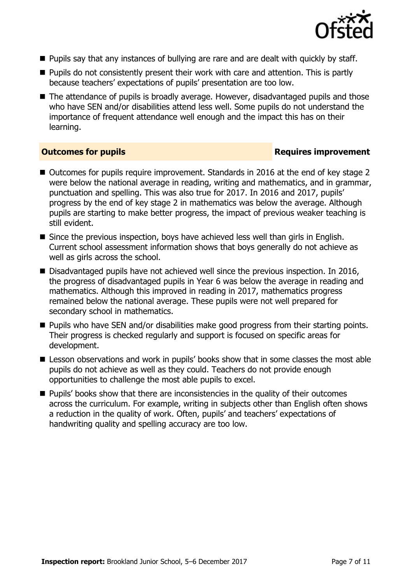

- **Pupils say that any instances of bullying are rare and are dealt with quickly by staff.**
- $\blacksquare$  Pupils do not consistently present their work with care and attention. This is partly because teachers' expectations of pupils' presentation are too low.
- The attendance of pupils is broadly average. However, disadvantaged pupils and those who have SEN and/or disabilities attend less well. Some pupils do not understand the importance of frequent attendance well enough and the impact this has on their learning.

### **Outcomes for pupils Requires improvement**

- Outcomes for pupils require improvement. Standards in 2016 at the end of key stage 2 were below the national average in reading, writing and mathematics, and in grammar, punctuation and spelling. This was also true for 2017. In 2016 and 2017, pupils' progress by the end of key stage 2 in mathematics was below the average. Although pupils are starting to make better progress, the impact of previous weaker teaching is still evident.
- Since the previous inspection, boys have achieved less well than girls in English. Current school assessment information shows that boys generally do not achieve as well as girls across the school.
- Disadvantaged pupils have not achieved well since the previous inspection. In 2016, the progress of disadvantaged pupils in Year 6 was below the average in reading and mathematics. Although this improved in reading in 2017, mathematics progress remained below the national average. These pupils were not well prepared for secondary school in mathematics.
- **Pupils who have SEN and/or disabilities make good progress from their starting points.** Their progress is checked regularly and support is focused on specific areas for development.
- **E** Lesson observations and work in pupils' books show that in some classes the most able pupils do not achieve as well as they could. Teachers do not provide enough opportunities to challenge the most able pupils to excel.
- $\blacksquare$  Pupils' books show that there are inconsistencies in the quality of their outcomes across the curriculum. For example, writing in subjects other than English often shows a reduction in the quality of work. Often, pupils' and teachers' expectations of handwriting quality and spelling accuracy are too low.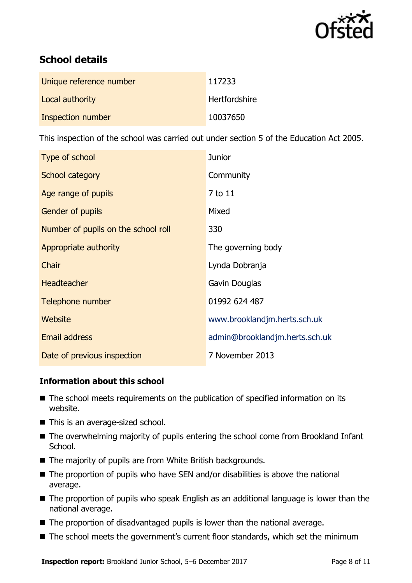

# **School details**

| Unique reference number | 117233               |
|-------------------------|----------------------|
| Local authority         | <b>Hertfordshire</b> |
| Inspection number       | 10037650             |

This inspection of the school was carried out under section 5 of the Education Act 2005.

| Type of school                      | <b>Junior</b>                  |
|-------------------------------------|--------------------------------|
| School category                     | Community                      |
| Age range of pupils                 | 7 to 11                        |
| <b>Gender of pupils</b>             | Mixed                          |
| Number of pupils on the school roll | 330                            |
| Appropriate authority               | The governing body             |
| Chair                               | Lynda Dobranja                 |
| <b>Headteacher</b>                  | Gavin Douglas                  |
| Telephone number                    | 01992 624 487                  |
| Website                             | www.brooklandjm.herts.sch.uk   |
| <b>Email address</b>                | admin@brooklandjm.herts.sch.uk |
| Date of previous inspection         | 7 November 2013                |

### **Information about this school**

- The school meets requirements on the publication of specified information on its website.
- This is an average-sized school.
- The overwhelming majority of pupils entering the school come from Brookland Infant School.
- The majority of pupils are from White British backgrounds.
- The proportion of pupils who have SEN and/or disabilities is above the national average.
- The proportion of pupils who speak English as an additional language is lower than the national average.
- The proportion of disadvantaged pupils is lower than the national average.
- The school meets the government's current floor standards, which set the minimum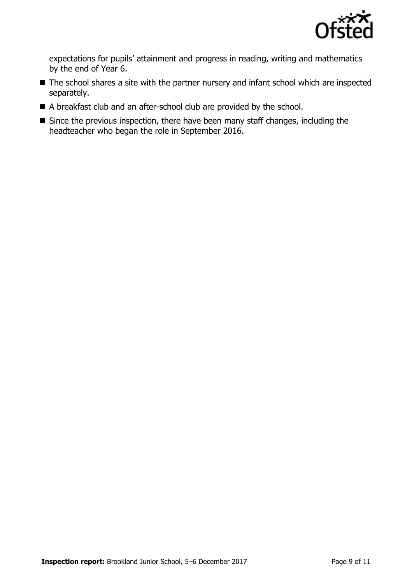

expectations for pupils' attainment and progress in reading, writing and mathematics by the end of Year 6.

- The school shares a site with the partner nursery and infant school which are inspected separately.
- A breakfast club and an after-school club are provided by the school.
- Since the previous inspection, there have been many staff changes, including the headteacher who began the role in September 2016.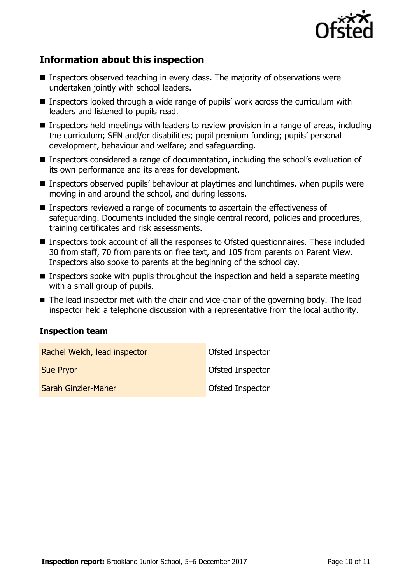

# **Information about this inspection**

- **Inspectors observed teaching in every class. The majority of observations were** undertaken jointly with school leaders.
- Inspectors looked through a wide range of pupils' work across the curriculum with leaders and listened to pupils read.
- Inspectors held meetings with leaders to review provision in a range of areas, including the curriculum; SEN and/or disabilities; pupil premium funding; pupils' personal development, behaviour and welfare; and safeguarding.
- Inspectors considered a range of documentation, including the school's evaluation of its own performance and its areas for development.
- **Inspectors observed pupils' behaviour at playtimes and lunchtimes, when pupils were** moving in and around the school, and during lessons.
- Inspectors reviewed a range of documents to ascertain the effectiveness of safeguarding. Documents included the single central record, policies and procedures, training certificates and risk assessments.
- Inspectors took account of all the responses to Ofsted questionnaires. These included 30 from staff, 70 from parents on free text, and 105 from parents on Parent View. Inspectors also spoke to parents at the beginning of the school day.
- Inspectors spoke with pupils throughout the inspection and held a separate meeting with a small group of pupils.
- The lead inspector met with the chair and vice-chair of the governing body. The lead inspector held a telephone discussion with a representative from the local authority.

### **Inspection team**

| Rachel Welch, lead inspector | Ofsted Inspector        |
|------------------------------|-------------------------|
| <b>Sue Pryor</b>             | <b>Ofsted Inspector</b> |
| Sarah Ginzler-Maher          | <b>Ofsted Inspector</b> |